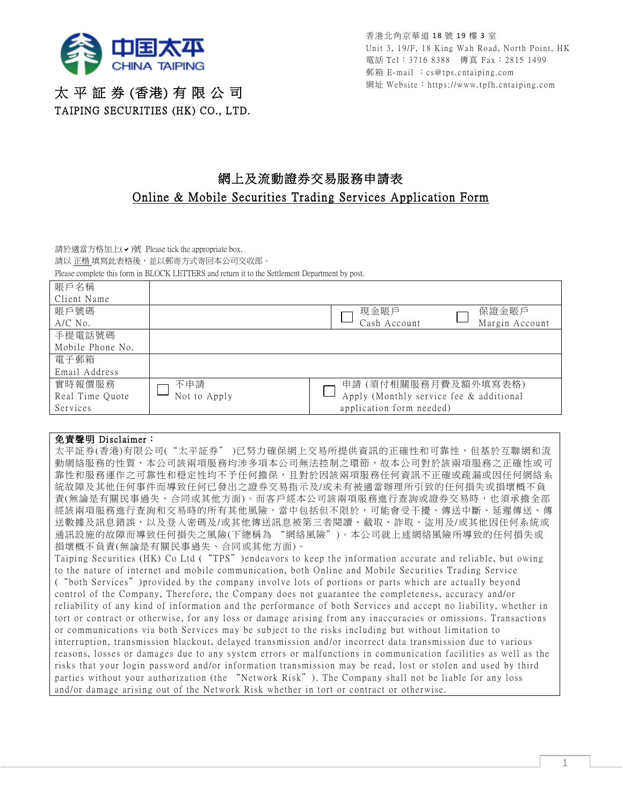

香港北角京華道 18 號 19 樓 3 室 Unit 3, 19/F, 18 King Wah Road, North Point, HK 電話 Tel:3716 8388 傳真 Fax:2815 1499 郵箱 E-mail :cs@tps.cntaiping.com 網址 Website:https://www.tpfh.cntaiping.com

## 太 平 証 券 (香港) 有 限 公 司 TAIPING SECURITIES (HK) CO., LTD.

## 網上及流動證券交易服務申請表 Online & Mobile Securities Trading Services Application Form

請於適當方格加上 $(\vee)$ 號 Please tick the appropriate box.

請以 正楷 填寫此表格後,並以郵寄方式寄回本公司交收部。

Please complete this form in BLOCK LETTERS and return it to the Settlement Department by post.

| 賬戶名稱             |              |                                         |  |
|------------------|--------------|-----------------------------------------|--|
| Client Name      |              |                                         |  |
| 賬戶號碼             |              | 保證金賬戶<br>現金賬戶                           |  |
| $A/C$ No.        |              | Margin Account<br>Cash Account          |  |
| 手提電話號碼           |              |                                         |  |
| Mobile Phone No. |              |                                         |  |
| 雷子郵箱             |              |                                         |  |
| Email Address    |              |                                         |  |
| 實時報價服務           | 不申請          | 申請(須付相關服務月費及額外填寫表格)                     |  |
| Real Time Quote  | Not to Apply | Apply (Monthly service fee & additional |  |
| Services         |              | application form needed)                |  |

## 免責聲明 Disclaimer:

太平証券(香港)有限公司("太平証券" )已努力確保網上交易所提供資訊的正確性和可靠性,但基於互聯網和流 動網絡服務的性質,本公司該兩項服務均涉多項本公司無法控制之環節,故本公司對於該兩項服務之正確性或可 靠性和服務運作之可靠性和穏定性均不予任何擔保,且對於因該兩項服務任何資訊不正確或疏漏或因任何網絡系 統故障及其他任何事件而導致任何已發出之證券交易指示及/或未有被適當辦理所引致的任何損失或損壞概不負 責(無論是有關民事過失、合同或其他方面)。而客戶經本公司該兩項服務進行查詢或證券交易時,也須承擔全部 經該兩項服務進行查詢和交易時的所有其他風險,當中包括但不限於,可能會受干擾、傳送中斷、延遲傳送、傳 送數據及訊息錯誤,以及登入密碼及/或其他傳送訊息被第三者閱讀、截取、詐取、盜用及/或其他因任何系統或 通訊設施的故障而導致任何損失之風險(下總稱為 "網絡風險")。本公司就上述網絡風險所導致的任何損失或 損壞概不負責(無論是有關民事過失、合同或其他方面)。

Taiping Securities (HK) Co Ltd ("TPS") endeavors to keep the information accurate and reliable, but owing to the nature of internet and mobile communication, both Online and Mobile Securities Trading Service ("both Services")provided by the company involve lots of portions or parts which are actually beyond control of the Company, Therefore, the Company does not guarantee the completeness, accuracy and/or reliability of any kind of information and the performance of both Services and accept no liability, whether in tort or contract or otherwise, for any loss or damage arising from any inaccuracies or omissions. Transactions or communications via both Services may be subject to the risks including but without limitation to interruption, transmission blackout, delayed transmission and/or incorrect data transmission due to various reasons, losses or damages due to any system errors or malfunctions in communication facilities as well as the risks that your login password and/or information transmission may be read, lost or stolen and used by third parties without your authorization (the "Network Risk"). The Company shall not be liable for any loss and/or damage arising out of the Network Risk whether in tort or contract or otherwise.